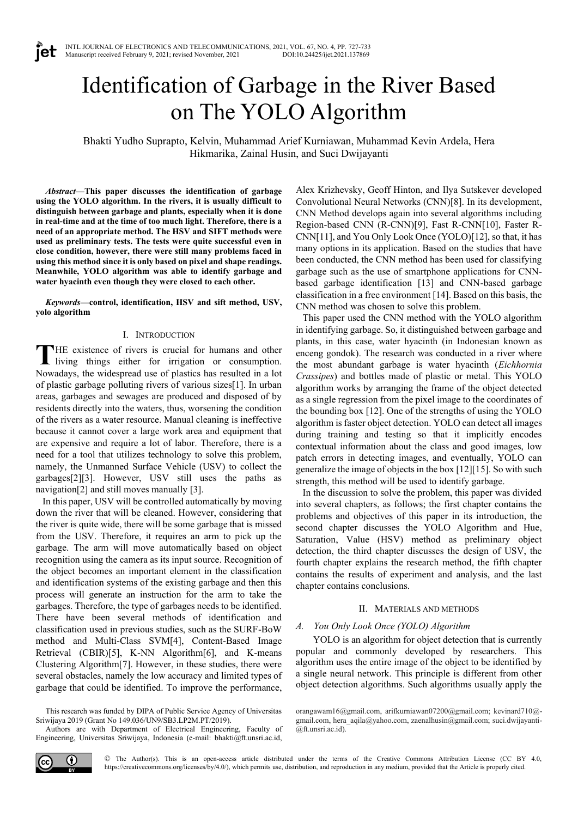# Identification of Garbage in the River Based on The YOLO Algorithm

Bhakti Yudho Suprapto, Kelvin, Muhammad Arief Kurniawan, Muhammad Kevin Ardela, Hera Hikmarika, Zainal Husin, and Suci Dwijayanti

*Abstract***—This paper discusses the identification of garbage using the YOLO algorithm. In the rivers, it is usually difficult to distinguish between garbage and plants, especially when it is done in real-time and at the time of too much light. Therefore, there is a need of an appropriate method. The HSV and SIFT methods were used as preliminary tests. The tests were quite successful even in close condition, however, there were still many problems faced in using this method since it is only based on pixel and shape readings. Meanwhile, YOLO algorithm was able to identify garbage and water hyacinth even though they were closed to each other.**

*Keywords***—control, identification, HSV and sift method, USV, yolo algorithm**

## I. INTRODUCTION

HE existence of rivers is crucial for humans and other living things either for irrigation or consumption. Nowadays, the widespread use of plastics has resulted in a lot of plastic garbage polluting rivers of various sizes[1]. In urban areas, garbages and sewages are produced and disposed of by residents directly into the waters, thus, worsening the condition of the rivers as a water resource. Manual cleaning is ineffective because it cannot cover a large work area and equipment that are expensive and require a lot of labor. Therefore, there is a need for a tool that utilizes technology to solve this problem, namely, the Unmanned Surface Vehicle (USV) to collect the garbages[2][3]. However, USV still uses the paths as navigation[2] and still moves manually [3]. **T**

In this paper, USV will be controlled automatically by moving down the river that will be cleaned. However, considering that the river is quite wide, there will be some garbage that is missed from the USV. Therefore, it requires an arm to pick up the garbage. The arm will move automatically based on object recognition using the camera as its input source. Recognition of the object becomes an important element in the classification and identification systems of the existing garbage and then this process will generate an instruction for the arm to take the garbages. Therefore, the type of garbages needs to be identified. There have been several methods of identification and classification used in previous studies, such as the SURF-BoW method and Multi-Class SVM[4], Content-Based Image Retrieval (CBIR)[5], K-NN Algorithm[6], and K-means Clustering Algorithm[7]. However, in these studies, there were several obstacles, namely the low accuracy and limited types of garbage that could be identified. To improve the performance,

This research was funded by DIPA of Public Service Agency of Universitas Sriwijaya 2019 (Grant No 149.036/UN9/SB3.LP2M.PT/2019).

Authors are with Department of Electrical Engineering, Faculty of Engineering, Universitas Sriwijaya, Indonesia (e-mail: bhakti@ft.unsri.ac.id,

Alex Krizhevsky, Geoff Hinton, and Ilya Sutskever developed Convolutional Neural Networks (CNN)[8]. In its development, CNN Method develops again into several algorithms including Region-based CNN (R-CNN)[9], Fast R-CNN[10], Faster R-CNN[11], and You Only Look Once (YOLO)[12], so that, it has many options in its application. Based on the studies that have been conducted, the CNN method has been used for classifying garbage such as the use of smartphone applications for CNNbased garbage identification [13] and CNN-based garbage classification in a free environment [14]. Based on this basis, the CNN method was chosen to solve this problem.

This paper used the CNN method with the YOLO algorithm in identifying garbage. So, it distinguished between garbage and plants, in this case, water hyacinth (in Indonesian known as enceng gondok). The research was conducted in a river where the most abundant garbage is water hyacinth (*Eichhornia Crassipes*) and bottles made of plastic or metal. This YOLO algorithm works by arranging the frame of the object detected as a single regression from the pixel image to the coordinates of the bounding box [12]. One of the strengths of using the YOLO algorithm is faster object detection. YOLO can detect all images during training and testing so that it implicitly encodes contextual information about the class and good images, low patch errors in detecting images, and eventually, YOLO can generalize the image of objects in the box [12][15]. So with such strength, this method will be used to identify garbage.

In the discussion to solve the problem, this paper was divided into several chapters, as follows; the first chapter contains the problems and objectives of this paper in its introduction, the second chapter discusses the YOLO Algorithm and Hue, Saturation, Value (HSV) method as preliminary object detection, the third chapter discusses the design of USV, the fourth chapter explains the research method, the fifth chapter contains the results of experiment and analysis, and the last chapter contains conclusions.

# II. MATERIALS AND METHODS

# *A. You Only Look Once (YOLO) Algorithm*

YOLO is an algorithm for object detection that is currently popular and commonly developed by researchers. This algorithm uses the entire image of the object to be identified by a single neural network. This principle is different from other object detection algorithms. Such algorithms usually apply the



orangawam16@gmail.com, arifkurniawan07200@gmail.com; kevinard710@ gmail.com, hera\_aqila@yahoo.com, zaenalhusin@gmail.com; suci.dwijayanti- @ft.unsri.ac.id).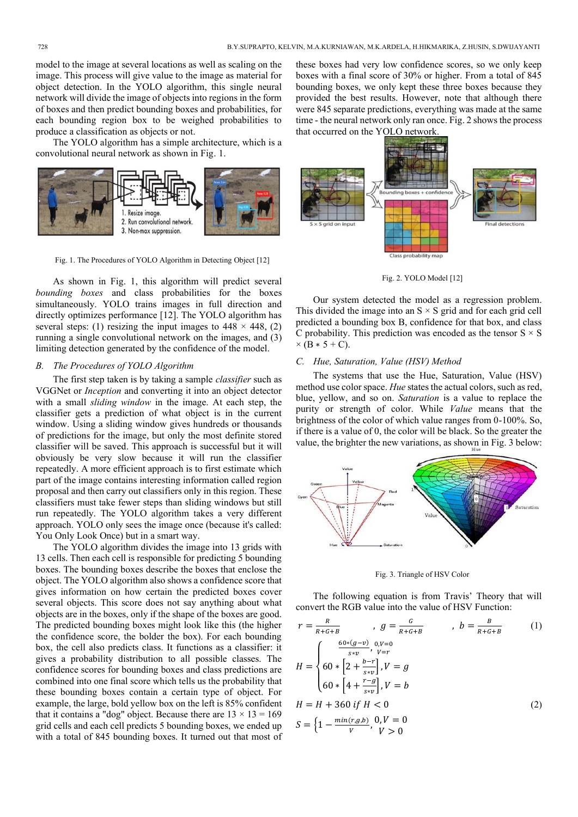model to the image at several locations as well as scaling on the image. This process will give value to the image as material for object detection. In the YOLO algorithm, this single neural network will divide the image of objects into regions in the form of boxes and then predict bounding boxes and probabilities, for each bounding region box to be weighed probabilities to produce a classification as objects or not.

The YOLO algorithm has a simple architecture, which is a convolutional neural network as shown in Fig. 1.



Fig. 1. The Procedures of YOLO Algorithm in Detecting Object [12]

As shown in Fig. 1, this algorithm will predict several *bounding boxes* and class probabilities for the boxes simultaneously. YOLO trains images in full direction and directly optimizes performance [12]. The YOLO algorithm has several steps: (1) resizing the input images to  $448 \times 448$ , (2) running a single convolutional network on the images, and (3) limiting detection generated by the confidence of the model.

# *B. The Procedures of YOLO Algorithm*

The first step taken is by taking a sample *classifier* such as VGGNet or *Inception* and converting it into an object detector with a small *sliding window* in the image. At each step, the classifier gets a prediction of what object is in the current window. Using a sliding window gives hundreds or thousands of predictions for the image, but only the most definite stored classifier will be saved. This approach is successful but it will obviously be very slow because it will run the classifier repeatedly. A more efficient approach is to first estimate which part of the image contains interesting information called region proposal and then carry out classifiers only in this region. These classifiers must take fewer steps than sliding windows but still run repeatedly. The YOLO algorithm takes a very different approach. YOLO only sees the image once (because it's called: You Only Look Once) but in a smart way.

The YOLO algorithm divides the image into 13 grids with 13 cells. Then each cell is responsible for predicting 5 bounding boxes. The bounding boxes describe the boxes that enclose the object. The YOLO algorithm also shows a confidence score that gives information on how certain the predicted boxes cover several objects. This score does not say anything about what objects are in the boxes, only if the shape of the boxes are good. The predicted bounding boxes might look like this (the higher the confidence score, the bolder the box). For each bounding box, the cell also predicts class. It functions as a classifier: it gives a probability distribution to all possible classes. The confidence scores for bounding boxes and class predictions are combined into one final score which tells us the probability that these bounding boxes contain a certain type of object. For example, the large, bold yellow box on the left is 85% confident that it contains a "dog" object. Because there are  $13 \times 13 = 169$ grid cells and each cell predicts 5 bounding boxes, we ended up with a total of 845 bounding boxes. It turned out that most of

these boxes had very low confidence scores, so we only keep boxes with a final score of 30% or higher. From a total of 845 bounding boxes, we only kept these three boxes because they provided the best results. However, note that although there were 845 separate predictions, everything was made at the same time - the neural network only ran once. Fig. 2 shows the process that occurred on the YOLO network.



Fig. 2. YOLO Model [12]

Our system detected the model as a regression problem. This divided the image into an  $S \times S$  grid and for each grid cell predicted a bounding box B, confidence for that box, and class C probability. This prediction was encoded as the tensor  $S \times S$  $×$  (B  $*$  5 + C).

## *C. Hue, Saturation, Value (HSV) Method*

The systems that use the Hue, Saturation, Value (HSV) method use color space. *Hue* states the actual colors, such as red, blue, yellow, and so on. *Saturation* is a value to replace the purity or strength of color. While *Value* means that the brightness of the color of which value ranges from 0-100%. So, if there is a value of 0, the color will be black. So the greater the value, the brighter the new variations, as shown in Fig. 3 below:



Fig. 3. Triangle of HSV Color

The following equation is from Travis' Theory that will convert the RGB value into the value of HSV Function:

$$
r = \frac{R}{R + G + B} , g = \frac{G}{R + G + B} , b = \frac{B}{R + G + B}
$$
 (1)  

$$
H = \begin{cases} \frac{60*(g-v)}{s*v}, & v = r \\ 60 * [2 + \frac{b-r}{s*v}], & V = g \\ 60 * [4 + \frac{r - g}{s*v}], & V = b \end{cases}
$$
  

$$
H = H + 360 \text{ if } H < 0
$$
  

$$
S = \left\{1 - \frac{\min(r, g, b)}{V}, \frac{0}{V} = 0\right\}
$$
 (2)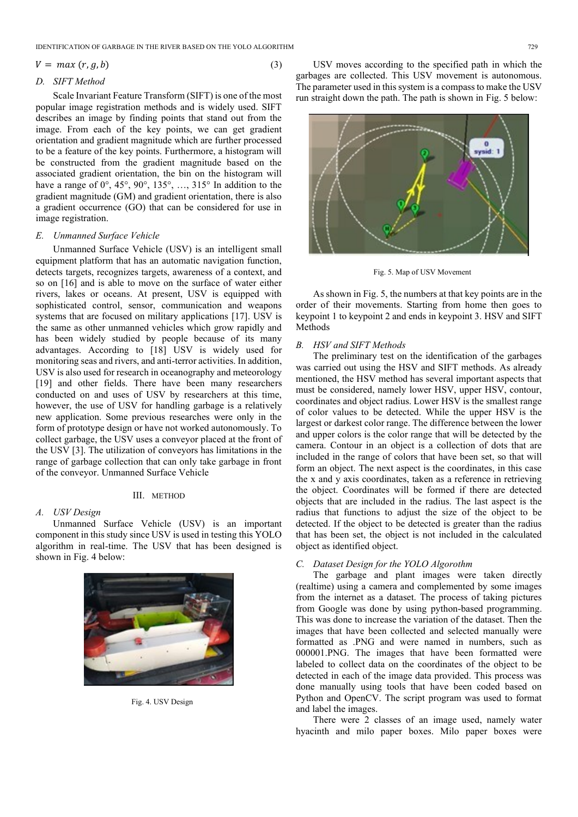IDENTIFICATION OF GARBAGE IN THE RIVER BASED ON THE YOLO ALGORITHM 729

#### $V = max(r, g, b)$  (3)

## *D. SIFT Method*

Scale Invariant Feature Transform (SIFT) is one of the most popular image registration methods and is widely used. SIFT describes an image by finding points that stand out from the image. From each of the key points, we can get gradient orientation and gradient magnitude which are further processed to be a feature of the key points. Furthermore, a histogram will be constructed from the gradient magnitude based on the associated gradient orientation, the bin on the histogram will have a range of 0°, 45°, 90°, 135°, …, 315° In addition to the gradient magnitude (GM) and gradient orientation, there is also a gradient occurrence (GO) that can be considered for use in image registration.

# *E. Unmanned Surface Vehicle*

Unmanned Surface Vehicle (USV) is an intelligent small equipment platform that has an automatic navigation function, detects targets, recognizes targets, awareness of a context, and so on [16] and is able to move on the surface of water either rivers, lakes or oceans. At present, USV is equipped with sophisticated control, sensor, communication and weapons systems that are focused on military applications [17]. USV is the same as other unmanned vehicles which grow rapidly and has been widely studied by people because of its many advantages. According to [18] USV is widely used for monitoring seas and rivers, and anti-terror activities. In addition, USV is also used for research in oceanography and meteorology [19] and other fields. There have been many researchers conducted on and uses of USV by researchers at this time, however, the use of USV for handling garbage is a relatively new application. Some previous researches were only in the form of prototype design or have not worked autonomously. To collect garbage, the USV uses a conveyor placed at the front of the USV [3]. The utilization of conveyors has limitations in the range of garbage collection that can only take garbage in front of the conveyor. Unmanned Surface Vehicle

## III. METHOD

# *A. USV Design*

Unmanned Surface Vehicle (USV) is an important component in this study since USV is used in testing this YOLO algorithm in real-time. The USV that has been designed is shown in Fig. 4 below:



Fig. 4. USV Design

USV moves according to the specified path in which the garbages are collected. This USV movement is autonomous. The parameter used in this system is a compass to make the USV run straight down the path. The path is shown in Fig. 5 below:



Fig. 5. Map of USV Movement

As shown in Fig. 5, the numbers at that key points are in the order of their movements. Starting from home then goes to keypoint 1 to keypoint 2 and ends in keypoint 3. HSV and SIFT Methods

## *B. HSV and SIFT Methods*

The preliminary test on the identification of the garbages was carried out using the HSV and SIFT methods. As already mentioned, the HSV method has several important aspects that must be considered, namely lower HSV, upper HSV, contour, coordinates and object radius. Lower HSV is the smallest range of color values to be detected. While the upper HSV is the largest or darkest color range. The difference between the lower and upper colors is the color range that will be detected by the camera. Contour in an object is a collection of dots that are included in the range of colors that have been set, so that will form an object. The next aspect is the coordinates, in this case the x and y axis coordinates, taken as a reference in retrieving the object. Coordinates will be formed if there are detected objects that are included in the radius. The last aspect is the radius that functions to adjust the size of the object to be detected. If the object to be detected is greater than the radius that has been set, the object is not included in the calculated object as identified object.

# *C. Dataset Design for the YOLO Algorothm*

The garbage and plant images were taken directly (realtime) using a camera and complemented by some images from the internet as a dataset. The process of taking pictures from Google was done by using python-based programming. This was done to increase the variation of the dataset. Then the images that have been collected and selected manually were formatted as .PNG and were named in numbers, such as 000001.PNG. The images that have been formatted were labeled to collect data on the coordinates of the object to be detected in each of the image data provided. This process was done manually using tools that have been coded based on Python and OpenCV. The script program was used to format and label the images.

There were 2 classes of an image used, namely water hyacinth and milo paper boxes. Milo paper boxes were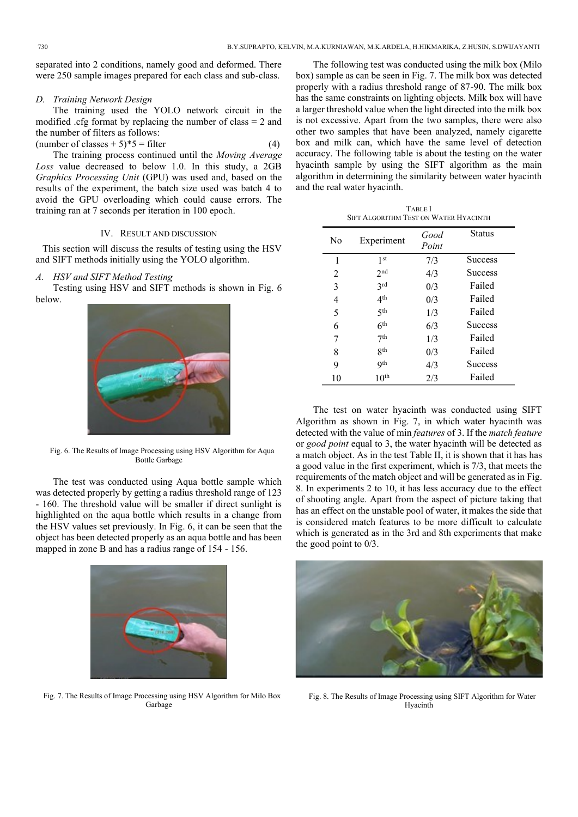separated into 2 conditions, namely good and deformed. There were 250 sample images prepared for each class and sub-class.

# *D. Training Network Design*

The training used the YOLO network circuit in the modified .cfg format by replacing the number of class = 2 and the number of filters as follows: (number of classes  $+ 5$ )\*5 = filter (4)

The training process continued until the *Moving Average Loss* value decreased to below 1.0. In this study, a 2GB *Graphics Processing Unit* (GPU) was used and, based on the results of the experiment, the batch size used was batch 4 to avoid the GPU overloading which could cause errors. The training ran at 7 seconds per iteration in 100 epoch.

## IV. RESULT AND DISCUSSION

This section will discuss the results of testing using the HSV and SIFT methods initially using the YOLO algorithm.

## *A. HSV and SIFT Method Testing*

Testing using HSV and SIFT methods is shown in Fig. 6 below.



Fig. 6. The Results of Image Processing using HSV Algorithm for Aqua Bottle Garbage

The test was conducted using Aqua bottle sample which was detected properly by getting a radius threshold range of 123 - 160. The threshold value will be smaller if direct sunlight is highlighted on the aqua bottle which results in a change from the HSV values set previously. In Fig. 6, it can be seen that the object has been detected properly as an aqua bottle and has been mapped in zone B and has a radius range of 154 - 156.



Fig. 7. The Results of Image Processing using HSV Algorithm for Milo Box Garbage

The following test was conducted using the milk box (Milo box) sample as can be seen in Fig. 7. The milk box was detected properly with a radius threshold range of 87-90. The milk box has the same constraints on lighting objects. Milk box will have a larger threshold value when the light directed into the milk box is not excessive. Apart from the two samples, there were also other two samples that have been analyzed, namely cigarette box and milk can, which have the same level of detection accuracy. The following table is about the testing on the water hyacinth sample by using the SIFT algorithm as the main algorithm in determining the similarity between water hyacinth and the real water hyacinth.

| <b>TABLE</b> I                        |
|---------------------------------------|
| SIFT ALGORITHM TEST ON WATER HYACINTH |

| No             | Experiment       | Good<br>Point | <b>Status</b>  |
|----------------|------------------|---------------|----------------|
| 1              | 1 <sup>st</sup>  | 7/3           | <b>Success</b> |
| $\mathfrak{D}$ | 2 <sub>nd</sub>  | 4/3           | <b>Success</b> |
| 3              | 2rd              | 0/3           | Failed         |
| 4              | 4 <sup>th</sup>  | 0/3           | Failed         |
| 5              | 5 <sup>th</sup>  | 1/3           | Failed         |
| 6              | 6 <sup>th</sup>  | 6/3           | <b>Success</b> |
| 7              | 7 <sup>th</sup>  | 1/3           | Failed         |
| 8              | <b>g</b> th      | 0/3           | Failed         |
| 9              | Q <sup>th</sup>  | 4/3           | <b>Success</b> |
| 10             | 10 <sup>th</sup> | 2/3           | Failed         |

The test on water hyacinth was conducted using SIFT Algorithm as shown in Fig. 7, in which water hyacinth was detected with the value of min *features* of 3. If the *match feature* or *good point* equal to 3, the water hyacinth will be detected as a match object. As in the test Table II, it is shown that it has has a good value in the first experiment, which is 7/3, that meets the requirements of the match object and will be generated as in Fig. 8. In experiments 2 to 10, it has less accuracy due to the effect of shooting angle. Apart from the aspect of picture taking that has an effect on the unstable pool of water, it makes the side that is considered match features to be more difficult to calculate which is generated as in the 3rd and 8th experiments that make the good point to 0/3.



Fig. 8. The Results of Image Processing using SIFT Algorithm for Water Hyacinth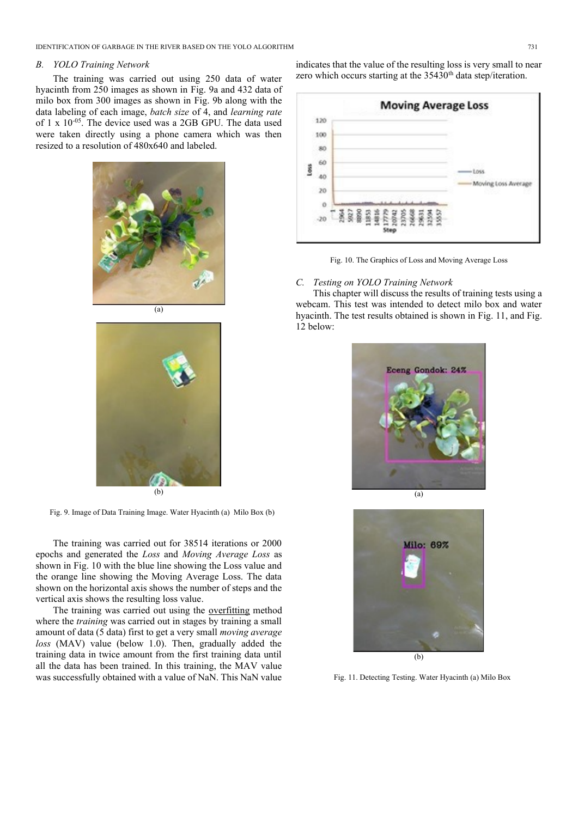IDENTIFICATION OF GARBAGE IN THE RIVER BASED ON THE YOLO ALGORITHM 731

## *B. YOLO Training Network*

The training was carried out using 250 data of water hyacinth from 250 images as shown in Fig. 9a and 432 data of milo box from 300 images as shown in Fig. 9b along with the data labeling of each image, *batch size* of 4, and *learning rate*  of 1 x 10-05. The device used was a 2GB GPU. The data used were taken directly using a phone camera which was then resized to a resolution of 480x640 and labeled.



(b)

Fig. 9. Image of Data Training Image. Water Hyacinth (a) Milo Box (b)

The training was carried out for 38514 iterations or 2000 epochs and generated the *Loss* and *Moving Average Loss* as shown in Fig. 10 with the blue line showing the Loss value and the orange line showing the Moving Average Loss. The data shown on the horizontal axis shows the number of steps and the vertical axis shows the resulting loss value.

The training was carried out using the overfitting method where the *training* was carried out in stages by training a small amount of data (5 data) first to get a very small *moving average loss* (MAV) value (below 1.0). Then, gradually added the training data in twice amount from the first training data until all the data has been trained. In this training, the MAV value was successfully obtained with a value of NaN. This NaN value indicates that the value of the resulting loss is very small to near zero which occurs starting at the 35430<sup>th</sup> data step/iteration.





# *C. Testing on YOLO Training Network*

This chapter will discuss the results of training tests using a webcam. This test was intended to detect milo box and water hyacinth. The test results obtained is shown in Fig. 11, and Fig. 12 below:





Fig. 11. Detecting Testing. Water Hyacinth (a) Milo Box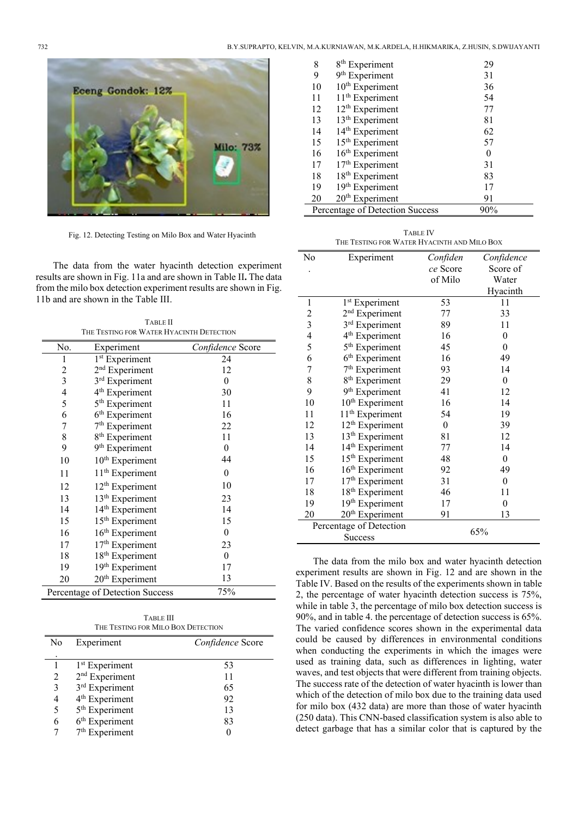

Fig. 12. Detecting Testing on Milo Box and Water Hyacinth

The data from the water hyacinth detection experiment results are shown in Fig. 11a and are shown in Table II**.** The data from the milo box detection experiment results are shown in Fig. 11b and are shown in the Table III.

TABLE II THE TESTING FOR WATER HYACINTH DETECTION

| No.            | Experiment                      | Confidence Score |
|----------------|---------------------------------|------------------|
| 1              | 1 <sup>st</sup> Experiment      | 24               |
| 2              | 2 <sup>nd</sup> Experiment      | 12               |
| $\overline{3}$ | 3rd Experiment                  | $\theta$         |
| $\overline{4}$ | 4 <sup>th</sup> Experiment      | 30               |
| 5              | 5 <sup>th</sup> Experiment      | 11               |
| 6              | 6 <sup>th</sup> Experiment      | 16               |
| 7              | 7 <sup>th</sup> Experiment      | 22               |
| 8              | 8 <sup>th</sup> Experiment      | 11               |
| 9              | 9 <sup>th</sup> Experiment      | $\theta$         |
| 10             | 10 <sup>th</sup> Experiment     | 44               |
| 11             | 11 <sup>th</sup> Experiment     | $\overline{0}$   |
| 12             | 12 <sup>th</sup> Experiment     | 10               |
| 13             | 13 <sup>th</sup> Experiment     | 23               |
| 14             | 14 <sup>th</sup> Experiment     | 14               |
| 15             | 15 <sup>th</sup> Experiment     | 15               |
| 16             | 16 <sup>th</sup> Experiment     | $\theta$         |
| 17             | $17^{\text{th}}$ Experiment     | 23               |
| 18             | 18 <sup>th</sup> Experiment     | $\overline{0}$   |
| 19             | 19 <sup>th</sup> Experiment     | 17               |
| 20             | 20 <sup>th</sup> Experiment     | 13               |
|                | Percentage of Detection Success | 75%              |

| <b>TABLE III</b>                   |
|------------------------------------|
| THE TESTING FOR MILO BOX DETECTION |

| No | Experiment                 | Confidence Score |  |
|----|----------------------------|------------------|--|
|    |                            |                  |  |
|    | 1 <sup>st</sup> Experiment | 53               |  |
| 2  | $2nd$ Experiment           | 11               |  |
| 3  | 3 <sup>rd</sup> Experiment | 65               |  |
|    | 4 <sup>th</sup> Experiment | 92               |  |
| 5  | 5 <sup>th</sup> Experiment | 13               |  |
| 6  | $6th$ Experiment           | 83               |  |
|    | $7th$ Experiment           |                  |  |

| 8  | $8th$ Experiment                | 29  |
|----|---------------------------------|-----|
| 9  | 9 <sup>th</sup> Experiment      | 31  |
| 10 | 10 <sup>th</sup> Experiment     | 36  |
| 11 | 11 <sup>th</sup> Experiment     | 54  |
| 12 | 12 <sup>th</sup> Experiment     | 77  |
| 13 | 13 <sup>th</sup> Experiment     | 81  |
| 14 | 14 <sup>th</sup> Experiment     | 62  |
| 15 | 15 <sup>th</sup> Experiment     | 57  |
| 16 | 16 <sup>th</sup> Experiment     | 0   |
| 17 | 17 <sup>th</sup> Experiment     | 31  |
| 18 | 18 <sup>th</sup> Experiment     | 83  |
| 19 | 19th Experiment                 | 17  |
| 20 | 20 <sup>th</sup> Experiment     | 91  |
|    | Percentage of Detection Success | 90% |

| <b>TABLE IV</b>                             |
|---------------------------------------------|
| THE TESTING FOR WATER HYACINTH AND MILO BOX |

| No             | Experiment                  | Confiden | Confidence       |
|----------------|-----------------------------|----------|------------------|
|                |                             | ce Score | Score of         |
|                |                             | of Milo  | Water            |
|                |                             |          | Hyacinth         |
| 1              | 1 <sup>st</sup> Experiment  | 53       | 11               |
| $\overline{c}$ | 2 <sup>nd</sup> Experiment  | 77       | 33               |
| 3              | 3 <sup>rd</sup> Experiment  | 89       | 11               |
| $\overline{4}$ | 4 <sup>th</sup> Experiment  | 16       | 0                |
| 5              | 5 <sup>th</sup> Experiment  | 45       | $\boldsymbol{0}$ |
| 6              | 6 <sup>th</sup> Experiment  | 16       | 49               |
| $\overline{7}$ | $7th$ Experiment            | 93       | 14               |
| 8              | 8 <sup>th</sup> Experiment  | 29       | $\boldsymbol{0}$ |
| 9              | 9 <sup>th</sup> Experiment  | 41       | 12               |
| 10             | 10 <sup>th</sup> Experiment | 16       | 14               |
| 11             | 11 <sup>th</sup> Experiment | 54       | 19               |
| 12             | 12 <sup>th</sup> Experiment | $\theta$ | 39               |
| 13             | 13 <sup>th</sup> Experiment | 81       | 12               |
| 14             | 14 <sup>th</sup> Experiment | 77       | 14               |
| 15             | 15 <sup>th</sup> Experiment | 48       | $\boldsymbol{0}$ |
| 16             | 16 <sup>th</sup> Experiment | 92       | 49               |
| 17             | 17 <sup>th</sup> Experiment | 31       | $\boldsymbol{0}$ |
| 18             | 18 <sup>th</sup> Experiment | 46       | 11               |
| 19             | 19 <sup>th</sup> Experiment | 17       | $\boldsymbol{0}$ |
| 20             | 20 <sup>th</sup> Experiment | 91       | 13               |
|                | Percentage of Detection     |          |                  |
|                | <b>Success</b>              |          | 65%              |

The data from the milo box and water hyacinth detection experiment results are shown in Fig. 12 and are shown in the Table IV. Based on the results of the experiments shown in table 2, the percentage of water hyacinth detection success is 75%, while in table 3, the percentage of milo box detection success is 90%, and in table 4. the percentage of detection success is 65%. The varied confidence scores shown in the experimental data could be caused by differences in environmental conditions when conducting the experiments in which the images were used as training data, such as differences in lighting, water waves, and test objects that were different from training objects. The success rate of the detection of water hyacinth is lower than which of the detection of milo box due to the training data used for milo box (432 data) are more than those of water hyacinth (250 data). This CNN-based classification system is also able to detect garbage that has a similar color that is captured by the